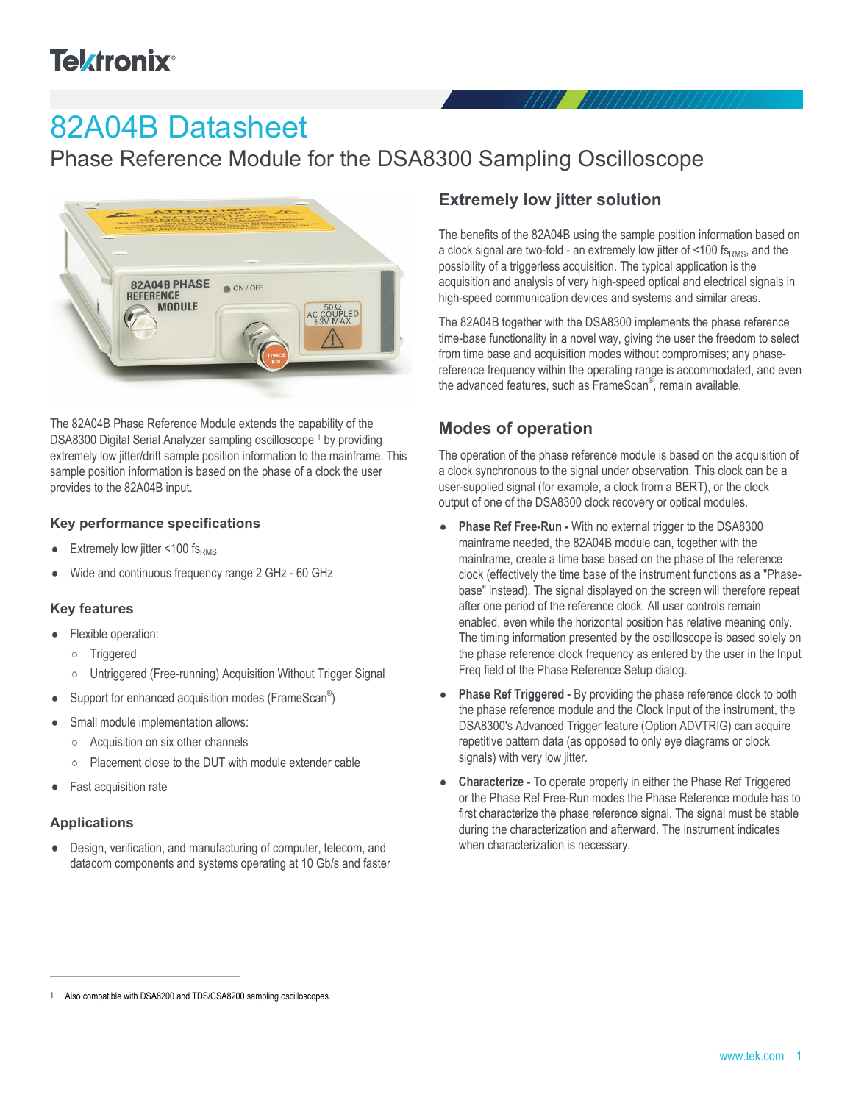# **Telxtronix**<sup>®</sup>

# 82A04B Datasheet

Phase Reference Module for the DSA8300 Sampling Oscilloscope



The 82A04B Phase Reference Module extends the capability of the DSA8300 Digital Serial Analyzer sampling oscilloscope<sup>1</sup> by providing extremely low jitter/drift sample position information to the mainframe. This sample position information is based on the phase of a clock the user provides to the 82A04B input.

#### **Key performance specifications**

- Extremely low jitter <100  $fs<sub>RMS</sub>$
- Wide and continuous frequency range 2 GHz 60 GHz

#### **Key features**

- Flexible operation:
	- o Triggered
	- Untriggered (Free-running) Acquisition Without Trigger Signal
- Support for enhanced acquisition modes (FrameScan®)
- Small module implementation allows:
	- Acquisition on six other channels
	- Placement close to the DUT with module extender cable  $\circ$
- Fast acquisition rate  $\bullet$

#### **Applications**

Design, verification, and manufacturing of computer, telecom, and datacom components and systems operating at 10 Gb/s and faster

## **Extremely low jitter solution**

The benefits of the 82A04B using the sample position information based on a clock signal are two-fold - an extremely low jitter of  $\leq$  100 fs<sub>RMS</sub>, and the possibility of a triggerless acquisition. The typical application is the acquisition and analysis of very high-speed optical and electrical signals in high-speed communication devices and systems and similar areas.

The 82A04B together with the DSA8300 implements the phase reference time-base functionality in a novel way, giving the user the freedom to select from time base and acquisition modes without compromises; any phasereference frequency within the operating range is accommodated, and even the advanced features, such as FrameScan<sup>®</sup>, remain available.

## **Modes of operation**

The operation of the phase reference module is based on the acquisition of a clock synchronous to the signal under observation. This clock can be a user-supplied signal (for example, a clock from a BERT), or the clock output of one of the DSA8300 clock recovery or optical modules.

- **Phase Ref Free-Run -** With no external trigger to the DSA8300  $\bullet$ mainframe needed, the 82A04B module can, together with the mainframe, create a time base based on the phase of the reference clock (effectively the time base of the instrument functions as a "Phasebase" instead). The signal displayed on the screen will therefore repeat after one period of the reference clock. All user controls remain enabled, even while the horizontal position has relative meaning only. The timing information presented by the oscilloscope is based solely on the phase reference clock frequency as entered by the user in the Input Freq field of the Phase Reference Setup dialog.
- **Phase Ref Triggered -** By providing the phase reference clock to both the phase reference module and the Clock Input of the instrument, the DSA8300's Advanced Trigger feature (Option ADVTRIG) can acquire repetitive pattern data (as opposed to only eye diagrams or clock signals) with very low jitter.
- **Characterize -** To operate properly in either the Phase Ref Triggered or the Phase Ref Free-Run modes the Phase Reference module has to first characterize the phase reference signal. The signal must be stable during the characterization and afterward. The instrument indicates when characterization is necessary.

Also compatible with DSA8200 and TDS/CSA8200 sampling oscilloscopes.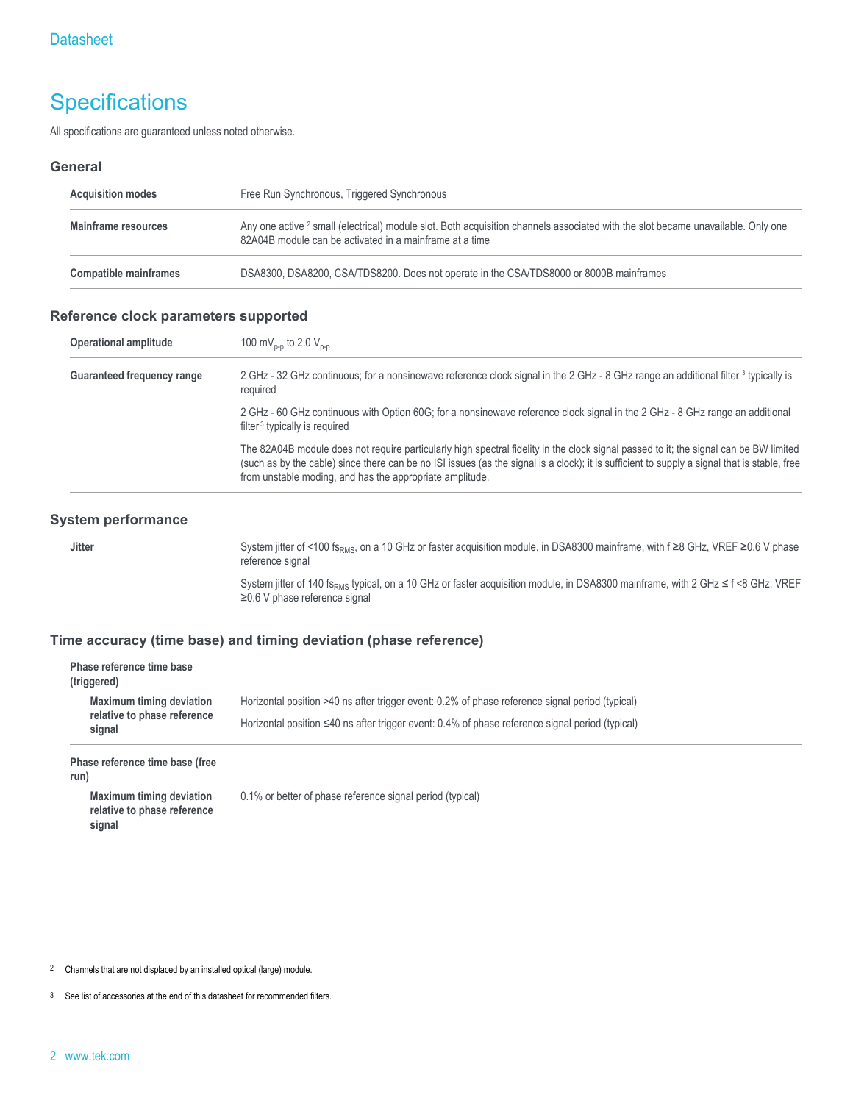## **Specifications**

All specifications are guaranteed unless noted otherwise.

#### **General**

| <b>Acquisition modes</b>     | Free Run Synchronous, Triggered Synchronous                                                                                                                                                            |  |
|------------------------------|--------------------------------------------------------------------------------------------------------------------------------------------------------------------------------------------------------|--|
| Mainframe resources          | Any one active <sup>2</sup> small (electrical) module slot. Both acquisition channels associated with the slot became unavailable. Only one<br>82A04B module can be activated in a mainframe at a time |  |
| <b>Compatible mainframes</b> | DSA8300, DSA8200, CSA/TDS8200. Does not operate in the CSA/TDS8000 or 8000B mainframes                                                                                                                 |  |

## **Reference clock parameters supported**

| <b>Operational amplitude</b>      | 100 mV <sub>p-p</sub> to 2.0 V <sub>p-p</sub>                                                                                                                                                                                                                                                                                                     |
|-----------------------------------|---------------------------------------------------------------------------------------------------------------------------------------------------------------------------------------------------------------------------------------------------------------------------------------------------------------------------------------------------|
| <b>Guaranteed frequency range</b> | 2 GHz - 32 GHz continuous; for a nonsinewave reference clock signal in the 2 GHz - 8 GHz range an additional filter <sup>3</sup> typically is<br>required                                                                                                                                                                                         |
|                                   | 2 GHz - 60 GHz continuous with Option 60G; for a nonsinewave reference clock signal in the 2 GHz - 8 GHz range an additional<br>filter <sup>3</sup> typically is required                                                                                                                                                                         |
|                                   | The 82A04B module does not require particularly high spectral fidelity in the clock signal passed to it; the signal can be BW limited<br>(such as by the cable) since there can be no ISI issues (as the signal is a clock); it is sufficient to supply a signal that is stable, free<br>from unstable moding, and has the appropriate amplitude. |

| Jitter | System jitter of <100 fs <sub>RMS</sub> , on a 10 GHz or faster acquisition module, in DSA8300 mainframe, with f $\geq$ 8 GHz, VREF $\geq$ 0.6 V phase<br>reference signal              |
|--------|-----------------------------------------------------------------------------------------------------------------------------------------------------------------------------------------|
|        | System jitter of 140 fs <sub>pMS</sub> typical, on a 10 GHz or faster acquisition module, in DSA8300 mainframe, with 2 GHz $\leq$ f <8 GHz, VREF<br>$\geq$ 0.6 V phase reference signal |

#### **Time accuracy (time base) and timing deviation (phase reference)**

| Phase reference time base<br>(triggered)                                 |                                                                                                       |
|--------------------------------------------------------------------------|-------------------------------------------------------------------------------------------------------|
| <b>Maximum timing deviation</b>                                          | Horizontal position >40 ns after trigger event: 0.2% of phase reference signal period (typical)       |
| relative to phase reference<br>signal                                    | Horizontal position $\leq 40$ ns after trigger event: 0.4% of phase reference signal period (typical) |
| Phase reference time base (free<br>run)                                  |                                                                                                       |
| <b>Maximum timing deviation</b><br>relative to phase reference<br>signal | 0.1% or better of phase reference signal period (typical)                                             |

<sup>2</sup> Channels that are not displaced by an installed optical (large) module.

<sup>3</sup> See list of accessories at the end of this datasheet for recommended filters.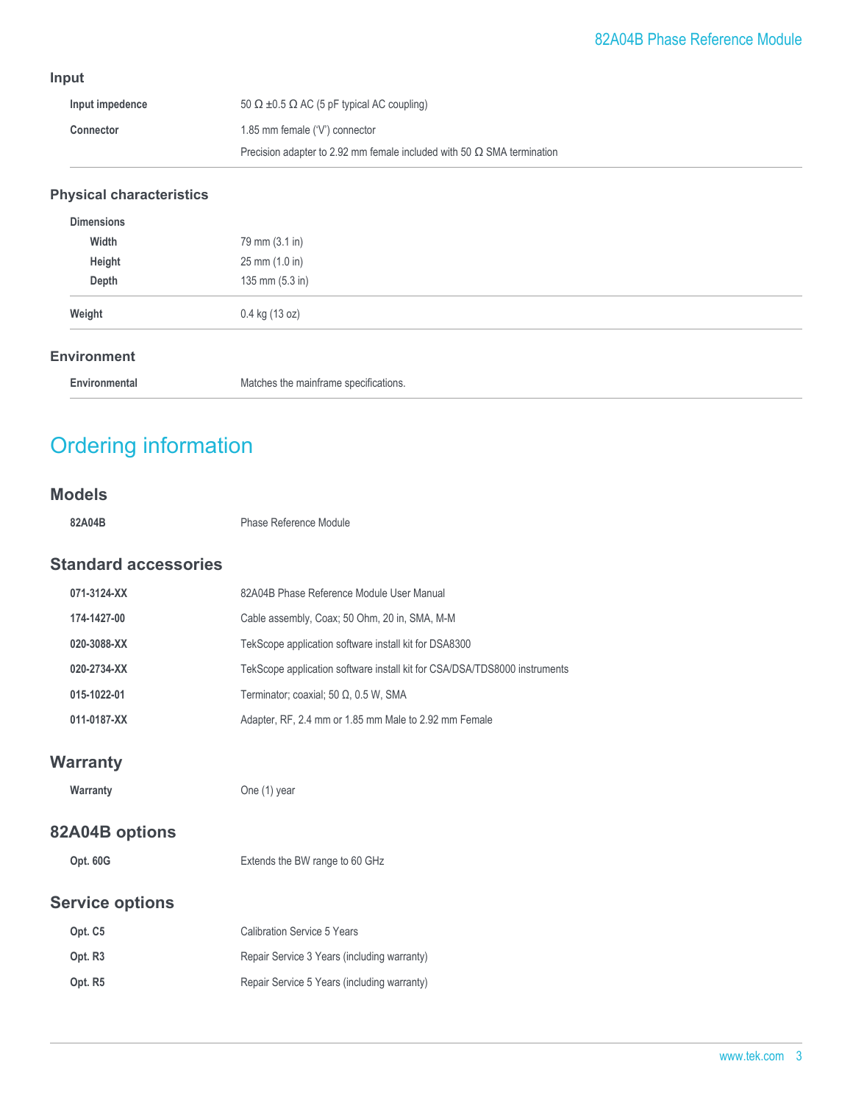## **Input**

| Input impedence  | $50 \Omega \pm 0.5 \Omega$ AC (5 pF typical AC coupling)                      |
|------------------|-------------------------------------------------------------------------------|
| <b>Connector</b> | 1.85 mm female $(V)$ connector                                                |
|                  | Precision adapter to 2.92 mm female included with 50 $\Omega$ SMA termination |

## **Physical characteristics**

| Weight            | 0.4 kg (13 oz)  |  |
|-------------------|-----------------|--|
|                   |                 |  |
| Depth             | 135 mm (5.3 in) |  |
| Height            | 25 mm (1.0 in)  |  |
| Width             | 79 mm (3.1 in)  |  |
| <b>Dimensions</b> |                 |  |

#### **Environment**

| Environmental | Matches the mainframe specifications.<br>. |  |
|---------------|--------------------------------------------|--|
|---------------|--------------------------------------------|--|

## Ordering information

### **Models**

**82A04B** Phase Reference Module

## **Standard accessories**

| 071-3124-XX | 82A04B Phase Reference Module User Manual                                 |
|-------------|---------------------------------------------------------------------------|
| 174-1427-00 | Cable assembly, Coax; 50 Ohm, 20 in, SMA, M-M                             |
| 020-3088-XX | TekScope application software install kit for DSA8300                     |
| 020-2734-XX | TekScope application software install kit for CSA/DSA/TDS8000 instruments |
| 015-1022-01 | Terminator; coaxial; 50 Ω, 0.5 W, SMA                                     |
| 011-0187-XX | Adapter, RF, 2.4 mm or 1.85 mm Male to 2.92 mm Female                     |

## **Warranty**

**Warranty** One (1) year

## **82A04B options**

| Opt. 60G | Extends the BW range to 60 GHz |
|----------|--------------------------------|
|          |                                |

## **Service options**

| Opt. C5             | <b>Calibration Service 5 Years</b>          |
|---------------------|---------------------------------------------|
| Opt. R <sub>3</sub> | Repair Service 3 Years (including warranty) |
| Opt. R <sub>5</sub> | Repair Service 5 Years (including warranty) |